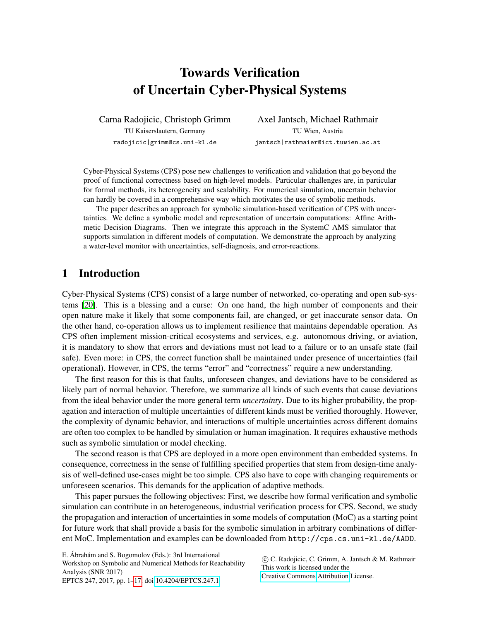# Towards Verification of Uncertain Cyber-Physical Systems

Carna Radojicic, Christoph Grimm TU Kaiserslautern, Germany radojicic|grimm@cs.uni-kl.de

Axel Jantsch, Michael Rathmair TU Wien, Austria jantsch|rathmaier@ict.tuwien.ac.at

Cyber-Physical Systems (CPS) pose new challenges to verification and validation that go beyond the proof of functional correctness based on high-level models. Particular challenges are, in particular for formal methods, its heterogeneity and scalability. For numerical simulation, uncertain behavior can hardly be covered in a comprehensive way which motivates the use of symbolic methods.

The paper describes an approach for symbolic simulation-based verification of CPS with uncertainties. We define a symbolic model and representation of uncertain computations: Affine Arithmetic Decision Diagrams. Then we integrate this approach in the SystemC AMS simulator that supports simulation in different models of computation. We demonstrate the approach by analyzing a water-level monitor with uncertainties, self-diagnosis, and error-reactions.

# <span id="page-0-0"></span>1 Introduction

Cyber-Physical Systems (CPS) consist of a large number of networked, co-operating and open sub-systems [\[20\]](#page-16-1). This is a blessing and a curse: On one hand, the high number of components and their open nature make it likely that some components fail, are changed, or get inaccurate sensor data. On the other hand, co-operation allows us to implement resilience that maintains dependable operation. As CPS often implement mission-critical ecosystems and services, e.g. autonomous driving, or aviation, it is mandatory to show that errors and deviations must not lead to a failure or to an unsafe state (fail safe). Even more: in CPS, the correct function shall be maintained under presence of uncertainties (fail operational). However, in CPS, the terms "error" and "correctness" require a new understanding.

The first reason for this is that faults, unforeseen changes, and deviations have to be considered as likely part of normal behavior. Therefore, we summarize all kinds of such events that cause deviations from the ideal behavior under the more general term *uncertainty*. Due to its higher probability, the propagation and interaction of multiple uncertainties of different kinds must be verified thoroughly. However, the complexity of dynamic behavior, and interactions of multiple uncertainties across different domains are often too complex to be handled by simulation or human imagination. It requires exhaustive methods such as symbolic simulation or model checking.

The second reason is that CPS are deployed in a more open environment than embedded systems. In consequence, correctness in the sense of fulfilling specified properties that stem from design-time analysis of well-defined use-cases might be too simple. CPS also have to cope with changing requirements or unforeseen scenarios. This demands for the application of adaptive methods.

This paper pursues the following objectives: First, we describe how formal verification and symbolic simulation can contribute in an heterogeneous, industrial verification process for CPS. Second, we study the propagation and interaction of uncertainties in some models of computation (MoC) as a starting point for future work that shall provide a basis for the symbolic simulation in arbitrary combinations of different MoC. Implementation and examples can be downloaded from http://cps.cs.uni-kl.de/AADD.

E. Ábrahám and S. Bogomolov (Eds.): 3rd International Workshop on Symbolic and Numerical Methods for Reachability Analysis (SNR 2017) EPTCS 247, 2017, pp. 1[–17,](#page-16-0) doi[:10.4204/EPTCS.247.1](http://dx.doi.org/10.4204/EPTCS.247.1)

 c C. Radojicic, C. Grimm, A. Jantsch & M. Rathmair This work is licensed under the [Creative Commons](http://creativecommons.org) [Attribution](http://creativecommons.org/licenses/by/3.0/) License.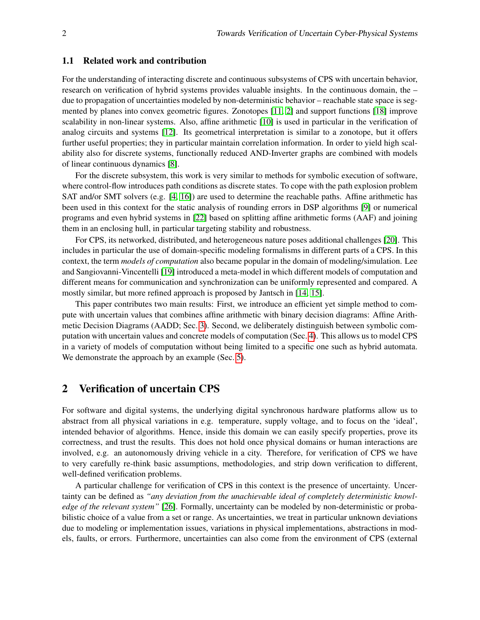## 1.1 Related work and contribution

For the understanding of interacting discrete and continuous subsystems of CPS with uncertain behavior, research on verification of hybrid systems provides valuable insights. In the continuous domain, the – due to propagation of uncertainties modeled by non-deterministic behavior – reachable state space is segmented by planes into convex geometric figures. Zonotopes [\[11,](#page-15-0) [2\]](#page-15-1) and support functions [\[18\]](#page-16-2) improve scalability in non-linear systems. Also, affine arithmetic [\[10\]](#page-15-2) is used in particular in the verification of analog circuits and systems [\[12\]](#page-15-3). Its geometrical interpretation is similar to a zonotope, but it offers further useful properties; they in particular maintain correlation information. In order to yield high scalability also for discrete systems, functionally reduced AND-Inverter graphs are combined with models of linear continuous dynamics [\[8\]](#page-15-4).

For the discrete subsystem, this work is very similar to methods for symbolic execution of software, where control-flow introduces path conditions as discrete states. To cope with the path explosion problem SAT and/or SMT solvers (e.g. [\[4,](#page-15-5) [16\]](#page-15-6)) are used to determine the reachable paths. Affine arithmetic has been used in this context for the static analysis of rounding errors in DSP algorithms [\[9\]](#page-15-7) or numerical programs and even hybrid systems in [\[22\]](#page-16-3) based on splitting affine arithmetic forms (AAF) and joining them in an enclosing hull, in particular targeting stability and robustness.

For CPS, its networked, distributed, and heterogeneous nature poses additional challenges [\[20\]](#page-16-1). This includes in particular the use of domain-specific modeling formalisms in different parts of a CPS. In this context, the term *models of computation* also became popular in the domain of modeling/simulation. Lee and Sangiovanni-Vincentelli [\[19\]](#page-16-4) introduced a meta-model in which different models of computation and different means for communication and synchronization can be uniformly represented and compared. A mostly similar, but more refined approach is proposed by Jantsch in [\[14,](#page-15-8) [15\]](#page-15-9).

This paper contributes two main results: First, we introduce an efficient yet simple method to compute with uncertain values that combines affine arithmetic with binary decision diagrams: Affine Arithmetic Decision Diagrams (AADD; Sec. [3\)](#page-2-0). Second, we deliberately distinguish between symbolic computation with uncertain values and concrete models of computation (Sec. [4\)](#page-7-0). This allows us to model CPS in a variety of models of computation without being limited to a specific one such as hybrid automata. We demonstrate the approach by an example (Sec. [5\)](#page-11-0).

# 2 Verification of uncertain CPS

For software and digital systems, the underlying digital synchronous hardware platforms allow us to abstract from all physical variations in e.g. temperature, supply voltage, and to focus on the 'ideal', intended behavior of algorithms. Hence, inside this domain we can easily specify properties, prove its correctness, and trust the results. This does not hold once physical domains or human interactions are involved, e.g. an autonomously driving vehicle in a city. Therefore, for verification of CPS we have to very carefully re-think basic assumptions, methodologies, and strip down verification to different, well-defined verification problems.

A particular challenge for verification of CPS in this context is the presence of uncertainty. Uncertainty can be defined as *"any deviation from the unachievable ideal of completely deterministic knowledge of the relevant system"* [\[26\]](#page-16-5). Formally, uncertainty can be modeled by non-deterministic or probabilistic choice of a value from a set or range. As uncertainties, we treat in particular unknown deviations due to modeling or implementation issues, variations in physical implementations, abstractions in models, faults, or errors. Furthermore, uncertainties can also come from the environment of CPS (external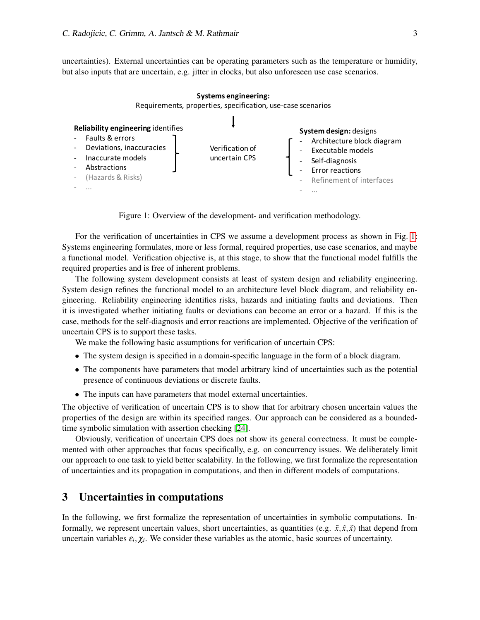uncertainties). External uncertainties can be operating parameters such as the temperature or humidity, but also inputs that are uncertain, e.g. jitter in clocks, but also unforeseen use case scenarios.

<span id="page-2-1"></span>

Figure 1: Overview of the development- and verification methodology.

For the verification of uncertainties in CPS we assume a development process as shown in Fig. [1:](#page-2-1) Systems engineering formulates, more or less formal, required properties, use case scenarios, and maybe a functional model. Verification objective is, at this stage, to show that the functional model fulfills the required properties and is free of inherent problems.

The following system development consists at least of system design and reliability engineering. System design refines the functional model to an architecture level block diagram, and reliability engineering. Reliability engineering identifies risks, hazards and initiating faults and deviations. Then it is investigated whether initiating faults or deviations can become an error or a hazard. If this is the case, methods for the self-diagnosis and error reactions are implemented. Objective of the verification of uncertain CPS is to support these tasks.

We make the following basic assumptions for verification of uncertain CPS:

- The system design is specified in a domain-specific language in the form of a block diagram.
- The components have parameters that model arbitrary kind of uncertainties such as the potential presence of continuous deviations or discrete faults.
- The inputs can have parameters that model external uncertainties.

The objective of verification of uncertain CPS is to show that for arbitrary chosen uncertain values the properties of the design are within its specified ranges. Our approach can be considered as a boundedtime symbolic simulation with assertion checking [\[24\]](#page-16-6).

Obviously, verification of uncertain CPS does not show its general correctness. It must be complemented with other approaches that focus specifically, e.g. on concurrency issues. We deliberately limit our approach to one task to yield better scalability. In the following, we first formalize the representation of uncertainties and its propagation in computations, and then in different models of computations.

# <span id="page-2-0"></span>3 Uncertainties in computations

In the following, we first formalize the representation of uncertainties in symbolic computations. Informally, we represent uncertain values, short uncertainties, as quantities (e.g.  $\tilde{x}, \tilde{x}, \tilde{x}$ ) that depend from uncertain variables  $\varepsilon_i, \chi_i$ . We consider these variables as the atomic, basic sources of uncertainty.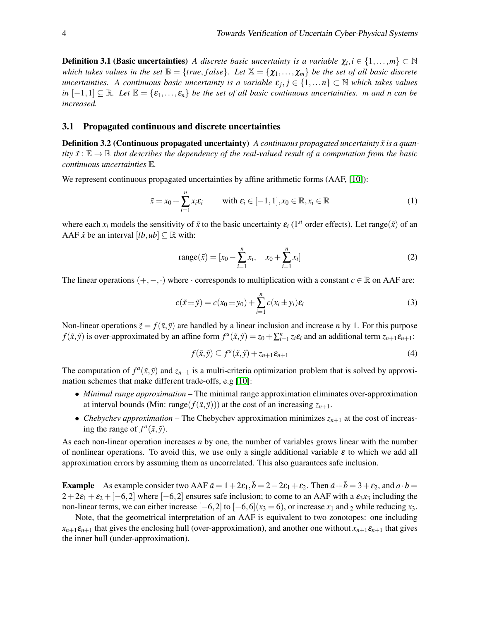**Definition 3.1 (Basic uncertainties)** *A discrete basic uncertainty is a variable*  $\chi_i, i \in \{1, \ldots, m\} \subset \mathbb{N}$ *which takes values in the set*  $\mathbb{B} = \{true, false\}$ . Let  $\mathbb{X} = \{\chi_1, \ldots, \chi_m\}$  be the set of all basic discrete *uncertainties. A continuous basic uncertainty is a variable* ε*<sup>j</sup>* , *j* ∈ {1,...*n*} ⊂ N *which takes values in*  $[-1,1] \subseteq \mathbb{R}$ *. Let*  $\mathbb{E} = {\varepsilon_1,\ldots,\varepsilon_n}$  *be the set of all basic continuous uncertainties. m and n can be increased.*

## 3.1 Propagated continuous and discrete uncertainties

**Definition 3.2 (Continuous propagated uncertainty)** *A continuous propagated uncertainty*  $\tilde{x}$  *is a quantity*  $\tilde{x}$  :  $\mathbb{E} \to \mathbb{R}$  *that describes the dependency of the real-valued result of a computation from the basic continuous uncertainties* E*.*

We represent continuous propagated uncertainties by affine arithmetic forms (AAF, [\[10\]](#page-15-2)):

$$
\tilde{x} = x_0 + \sum_{i=1}^n x_i \varepsilon_i \qquad \text{with } \varepsilon_i \in [-1, 1], x_0 \in \mathbb{R}, x_i \in \mathbb{R}
$$
 (1)

where each  $x_i$  models the sensitivity of  $\tilde{x}$  to the basic uncertainty  $\varepsilon_i$  (1<sup>st</sup> order effects). Let range( $\tilde{x}$ ) of an AAF  $\tilde{x}$  be an interval  $[lb, ub] \subseteq \mathbb{R}$  with:

<span id="page-3-0"></span>range(
$$
\tilde{x}
$$
) = [ $x_0 - \sum_{i=1}^n x_i$ ,  $x_0 + \sum_{i=1}^n x_i$ ] (2)

The linear operations  $(+,-, \cdot)$  where  $\cdot$  corresponds to multiplication with a constant  $c \in \mathbb{R}$  on AAF are:

$$
c(\tilde{x} \pm \tilde{y}) = c(x_0 \pm y_0) + \sum_{i=1}^{n} c(x_i \pm y_i) \varepsilon_i
$$
\n(3)

Non-linear operations  $\tilde{z} = f(\tilde{x}, \tilde{y})$  are handled by a linear inclusion and increase *n* by 1. For this purpose  $f(\tilde{x}, \tilde{y})$  is over-approximated by an affine form  $f^a(\tilde{x}, \tilde{y}) = z_0 + \sum_{i=1}^n z_i \varepsilon_i$  and an additional term  $z_{n+1} \varepsilon_{n+1}$ :

<span id="page-3-2"></span><span id="page-3-1"></span>
$$
f(\tilde{x}, \tilde{y}) \subseteq f^a(\tilde{x}, \tilde{y}) + z_{n+1} \varepsilon_{n+1}
$$
\n<sup>(4)</sup>

The computation of  $f^a(\tilde{x}, \tilde{y})$  and  $z_{n+1}$  is a multi-criteria optimization problem that is solved by approximation schemes that make different trade-offs, e.g [\[10\]](#page-15-2):

- *Minimal range approximation* The minimal range approximation eliminates over-approximation at interval bounds (Min: range( $f(\tilde{x}, \tilde{y})$ )) at the cost of an increasing  $z_{n+1}$ .
- *Chebychev approximation* The Chebychev approximation minimizes  $z_{n+1}$  at the cost of increasing the range of  $f^a(\tilde{x}, \tilde{y})$ .

As each non-linear operation increases *n* by one, the number of variables grows linear with the number of nonlinear operations. To avoid this, we use only a single additional variable  $\varepsilon$  to which we add all approximation errors by assuming them as uncorrelated. This also guarantees safe inclusion.

**Example** As example consider two AAF  $\tilde{a} = 1 + 2\varepsilon_1$ ,  $\tilde{b} = 2 - 2\varepsilon_1 + \varepsilon_2$ . Then  $\tilde{a} + \tilde{b} = 3 + \varepsilon_2$ , and  $a \cdot b =$  $2+2\varepsilon_1+\varepsilon_2+[-6,2]$  where [−6,2] ensures safe inclusion; to come to an AAF with a  $\varepsilon_3x_3$  including the non-linear terms, we can either increase  $[-6,2]$  to  $[-6,6](x_3 = 6)$ , or increase  $x_1$  and 2 while reducing  $x_3$ .

Note, that the geometrical interpretation of an AAF is equivalent to two zonotopes: one including  $x_{n+1}$ *ε*<sub>*n*+1</sub> that gives the enclosing hull (over-approximation), and another one without  $x_{n+1}$ *ε*<sub>*n*+1</sub> that gives the inner hull (under-approximation).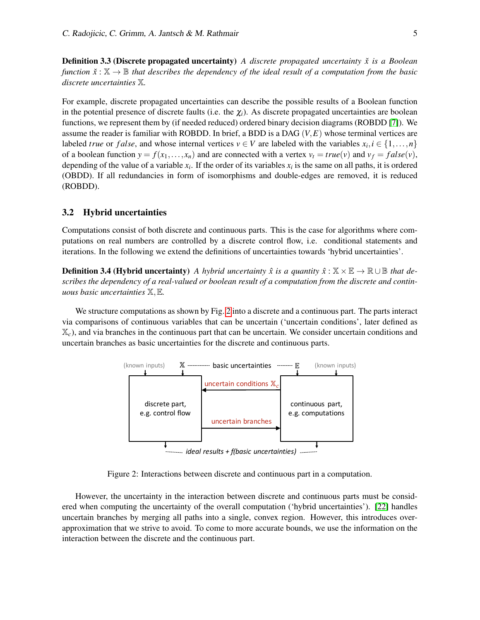**Definition 3.3 (Discrete propagated uncertainty)** *A discrete propagated uncertainty*  $\check{x}$  *is a Boolean function*  $\check{x}$  :  $\mathbb{X} \to \mathbb{B}$  *that describes the dependency of the ideal result of a computation from the basic discrete uncertainties* X*.*

For example, discrete propagated uncertainties can describe the possible results of a Boolean function in the potential presence of discrete faults (i.e. the  $\chi_i$ ). As discrete propagated uncertainties are boolean functions, we represent them by (if needed reduced) ordered binary decision diagrams (ROBDD [\[7\]](#page-15-10)). We assume the reader is familiar with ROBDD. In brief, a BDD is a DAG (*V*,*E*) whose terminal vertices are labeled *true* or *false*, and whose internal vertices  $v \in V$  are labeled with the variables  $x_i, i \in \{1, ..., n\}$ of a boolean function  $y = f(x_1, \ldots, x_n)$  and are connected with a vertex  $v_t = true(v)$  and  $v_f = false(v)$ , depending of the value of a variable  $x_i$ . If the order of its variables  $x_i$  is the same on all paths, it is ordered (OBDD). If all redundancies in form of isomorphisms and double-edges are removed, it is reduced (ROBDD).

## 3.2 Hybrid uncertainties

Computations consist of both discrete and continuous parts. This is the case for algorithms where computations on real numbers are controlled by a discrete control flow, i.e. conditional statements and iterations. In the following we extend the definitions of uncertainties towards 'hybrid uncertainties'.

**Definition 3.4 (Hybrid uncertainty)** *A hybrid uncertainty*  $\hat{x}$  *is a quantity*  $\hat{x}$  :  $\mathbb{X} \times \mathbb{E} \rightarrow \mathbb{R} \cup \mathbb{B}$  *that describes the dependency of a real-valued or boolean result of a computation from the discrete and continuous basic uncertainties* X,E*.*

<span id="page-4-0"></span>We structure computations as shown by Fig. [2](#page-4-0) into a discrete and a continuous part. The parts interact via comparisons of continuous variables that can be uncertain ('uncertain conditions', later defined as X*c*), and via branches in the continuous part that can be uncertain. We consider uncertain conditions and uncertain branches as basic uncertainties for the discrete and continuous parts.



Figure 2: Interactions between discrete and continuous part in a computation.

However, the uncertainty in the interaction between discrete and continuous parts must be considered when computing the uncertainty of the overall computation ('hybrid uncertainties'). [\[22\]](#page-16-3) handles uncertain branches by merging all paths into a single, convex region. However, this introduces overapproximation that we strive to avoid. To come to more accurate bounds, we use the information on the interaction between the discrete and the continuous part.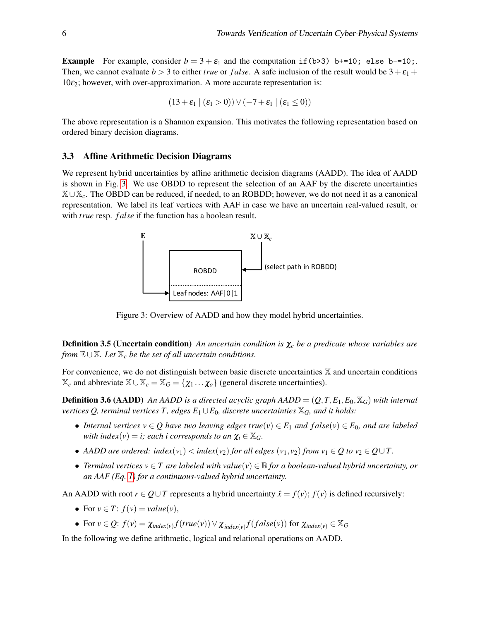**Example** For example, consider  $b = 3 + \varepsilon_1$  and the computation if (b>3) b+=10; else b-=10;. Then, we cannot evaluate  $b > 3$  to either *true* or *false*. A safe inclusion of the result would be  $3 + \varepsilon_1$  +  $10\varepsilon$ <sub>2</sub>; however, with over-approximation. A more accurate representation is:

$$
(13 + \varepsilon_1 \mid (\varepsilon_1 > 0)) \vee (-7 + \varepsilon_1 \mid (\varepsilon_1 \le 0))
$$

The above representation is a Shannon expansion. This motivates the following representation based on ordered binary decision diagrams.

#### 3.3 Affine Arithmetic Decision Diagrams

<span id="page-5-0"></span>We represent hybrid uncertainties by affine arithmetic decision diagrams (AADD). The idea of AADD is shown in Fig. [3.](#page-5-0) We use OBDD to represent the selection of an AAF by the discrete uncertainties X∪X*c*. The OBDD can be reduced, if needed, to an ROBDD; however, we do not need it as a canonical representation. We label its leaf vertices with AAF in case we have an uncertain real-valued result, or with *true* resp. *f alse* if the function has a boolean result.



Figure 3: Overview of AADD and how they model hybrid uncertainties.

Definition 3.5 (Uncertain condition) *An uncertain condition is* χ*<sup>c</sup> be a predicate whose variables are from* E∪X*. Let* X*<sup>c</sup> be the set of all uncertain conditions.*

For convenience, we do not distinguish between basic discrete uncertainties  $X$  and uncertain conditions  $\mathbb{X}_c$  and abbreviate  $\mathbb{X} \cup \mathbb{X}_c = \mathbb{X}_G = \{ \chi_1 \dots \chi_o \}$  (general discrete uncertainties).

**Definition 3.6 (AADD)** An AADD is a directed acyclic graph AADD =  $(Q, T, E_1, E_0, X_G)$  with internal *vertices Q, terminal vertices T, edges*  $E_1 \cup E_0$ *, discrete uncertainties*  $\mathbb{X}_G$ *, and it holds:* 

- *Internal vertices*  $v \in Q$  *have two leaving edges true*( $v$ )  $\in E_1$  *and false*( $v$ )  $\in E_0$ *, and are labeled with index*(*v*) = *i; each i corresponds to an*  $\chi_i \in \mathbb{X}_G$ *.*
- *AADD are ordered: index*( $v_1$ )  $<$  *index*( $v_2$ ) *for all edges* ( $v_1$ ,  $v_2$ ) *from*  $v_1 \in Q$  *to*  $v_2 \in Q \cup T$ .
- *Terminal vertices v* ∈ *T are labeled with value*(*v*) ∈ B *for a boolean-valued hybrid uncertainty, or an AAF (Eq. [1\)](#page-3-0) for a continuous-valued hybrid uncertainty.*

An AADD with root  $r \in Q \cup T$  represents a hybrid uncertainty  $\hat{x} = f(v)$ ;  $f(v)$  is defined recursively:

- For  $v \in T$ :  $f(v) = value(v)$ ,
- For *v* ∈ *Q*: *f*(*v*) =  $\chi_{index(v)} f(true(v)) \vee \overline{\chi}_{index(v)} f(false(v))$  for  $\chi_{index(v)} \in \mathbb{X}_G$

In the following we define arithmetic, logical and relational operations on AADD.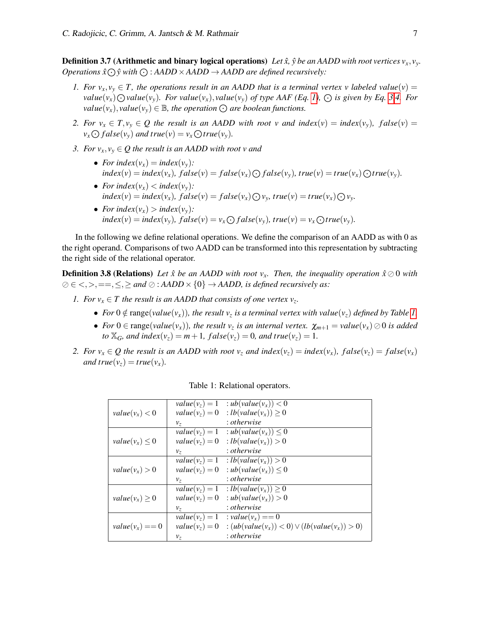**Definition 3.7 (Arithmetic and binary logical operations)** Let  $\hat{x}$ ,  $\hat{y}$  be an AADD with root vertices  $v_x$ ,  $v_y$ . *Operations*  $\hat{x} \odot \hat{y}$  with  $\odot$  :  $AADD \times AADD \rightarrow AADD$  are defined recursively:

- *1.* For  $v_x$ ,  $v_y \in T$ , the operations result in an AADD that is a terminal vertex v labeled value(v) = value(v<sub>x</sub>)  $\bigodot$ value(v<sub>y</sub>). For value(v<sub>x</sub>), value(v<sub>y</sub>) of type AAF (Eq. [1\)](#page-3-0),  $\bigodot$  is given by Eq. [3](#page-3-1)[,4.](#page-3-2) For *value*( $v_x$ ), *value*( $v_y$ )  $\in \mathbb{B}$ *, the operation*  $\odot$  *are boolean functions.*
- *2.* For  $v_x \in T$ ,  $v_y \in Q$  the result is an AADD with root v and index(v) = index(v<sub>y</sub>), false(v) =  $v_x \bigodot false(v_y)$  *and true* $(v) = v_x \bigodot true(v_y)$ *.*
- *3. For*  $v_x, v_y \in Q$  the result is an AADD with root v and
	- *For index* $(v_x)$  = *index* $(v_y)$ *:*  $index(v) = index(v_x), false(v) = false(v_x) \bigcirc false(v_y), true(v) = true(v_x) \bigcirc true(v_y).$
	- *For index* $(v_x)$   $\lt$  *index* $(v_y)$ *:*  $index(v) = index(v_x)$ ,  $false(v) = false(v_x) \bigcirc v_y$ ,  $true(v) = true(v_x) \bigcirc v_y$ .
	- *For index* $(v_x) > index(v_y)$ :  $index(v) = index(v_y)$ ,  $false(v) = v_x \bigodot false(v_y)$ ,  $true(v) = v_x \bigodot true(v_y)$ .

In the following we define relational operations. We define the comparison of an AADD as with 0 as the right operand. Comparisons of two AADD can be transformed into this representation by subtracting the right side of the relational operator.

**Definition 3.8 (Relations)** Let  $\hat{x}$  be an AADD with root  $v_x$ . Then, the inequality operation  $\hat{x} \oslash 0$  with  $\emptyset \in \langle 0, \rangle, = =, \leq, \geq \text{and } \emptyset : \text{AADD} \times \{0\} \to \text{AADD}$ , is defined recursively as:

- *1. For*  $v_x \in T$  *the result is an AADD that consists of one vertex*  $v_z$ *.* 
	- *For*  $0 \notin \text{range}(value(v_x))$ *, the result*  $v_z$  *is a terminal vertex with value* $(v_z)$  *defined by Table [1.](#page-6-0)*
	- *For*  $0 \in \text{range}(value(v_x))$ , the result  $v_z$  is an internal vertex.  $\chi_{m+1} = value(v_x) \oslash 0$  is added *to*  $\mathbb{X}_G$ *, and index*( $v_z$ ) = *m* + 1*, f alse*( $v_z$ ) = 0*, and true*( $v_z$ ) = 1*.*
- <span id="page-6-0"></span>*2. For*  $v_x \in Q$  *the result is an AADD with root*  $v_z$  *and index*( $v_z$ ) = *index*( $v_x$ )*, false*( $v_z$ ) = *false*( $v_x$ ) *and true*( $v_z$ ) = *true*( $v_x$ ).

|                     |                  | $value(v_z) = 1$ : $ub(value(v_x)) < 0$                             |
|---------------------|------------------|---------------------------------------------------------------------|
| $value(v_x) < 0$    |                  | $value(v_z) = 0$ : $lb(value(v_x)) \ge 0$                           |
|                     | $v_z$            | : otherwise                                                         |
|                     |                  | $value(v_z) = 1$ : $ub(value(v_x)) \leq 0$                          |
| $value(v_x) \leq 0$ | $value(v_z) = 0$ | : $lb(value(v_x)) > 0$                                              |
|                     | $v_z$            | : otherwise                                                         |
| $value(v_x) > 0$    |                  | $value(v_z) = 1$ : $lb(value(v_x)) > 0$                             |
|                     | $value(v_z) = 0$ | : $ub(value(v_x)) \leq 0$                                           |
|                     | $v_z$            | : otherwise                                                         |
| $value(v_x) \geq 0$ |                  | $value(v_z) = 1$ : $lb(value(v_x)) \ge 0$                           |
|                     | $value(v_z) = 0$ | : $ub(value(v_x)) > 0$                                              |
|                     | $v_z$            | : otherwise                                                         |
| $value(v_x) == 0$   |                  | $value(v_z) = 1$ : $value(v_x) == 0$                                |
|                     |                  | $value(v_z) = 0$ : $(ub(value(v_x)) < 0) \vee (lb(value(v_x)) > 0)$ |
|                     | $v_z$            | : otherwise                                                         |

Table 1: Relational operators.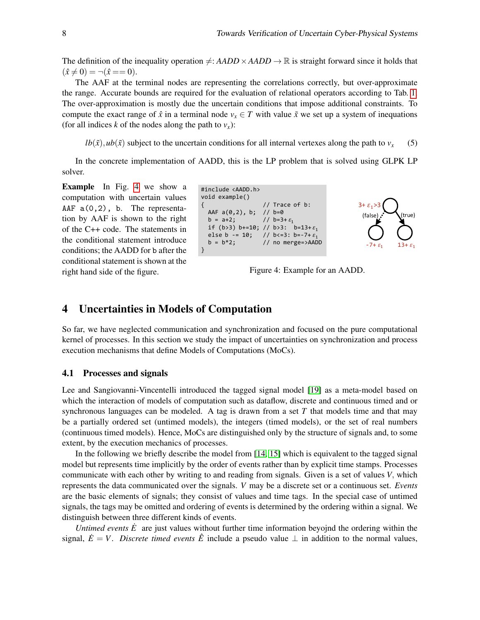The definition of the inequality operation  $\neq$ : *AADD*  $\times$  *AADD*  $\rightarrow$  R is straight forward since it holds that  $(\hat{x} \neq 0) = \neg(\hat{x} == 0).$ 

The AAF at the terminal nodes are representing the correlations correctly, but over-approximate the range. Accurate bounds are required for the evaluation of relational operators according to Tab. [1.](#page-6-0) The over-approximation is mostly due the uncertain conditions that impose additional constraints. To compute the exact range of  $\hat{x}$  in a terminal node  $v_x \in T$  with value  $\tilde{x}$  we set up a system of inequations (for all indices *k* of the nodes along the path to  $v_x$ ):

 $lb(\tilde{x})$ ,  $ub(\tilde{x})$  subject to the uncertain conditions for all internal vertexes along the path to  $v_x$  (5)

In the concrete implementation of AADD, this is the LP problem that is solved using GLPK LP solver.

<span id="page-7-1"></span>Example In Fig. [4](#page-7-1) we show a computation with uncertain values AAF  $a(0,2)$ , b. The representation by AAF is shown to the right of the C++ code. The statements in the conditional statement introduce conditions; the AADD for b after the conditional statement is shown at the right hand side of the figure.





Figure 4: Example for an AADD.

# <span id="page-7-0"></span>4 Uncertainties in Models of Computation

So far, we have neglected communication and synchronization and focused on the pure computational kernel of processes. In this section we study the impact of uncertainties on synchronization and process execution mechanisms that define Models of Computations (MoCs).

#### 4.1 Processes and signals

Lee and Sangiovanni-Vincentelli introduced the tagged signal model [\[19\]](#page-16-4) as a meta-model based on which the interaction of models of computation such as dataflow, discrete and continuous timed and or synchronous languages can be modeled. A tag is drawn from a set *T* that models time and that may be a partially ordered set (untimed models), the integers (timed models), or the set of real numbers (continuous timed models). Hence, MoCs are distinguished only by the structure of signals and, to some extent, by the execution mechanics of processes.

In the following we briefly describe the model from [\[14,](#page-15-8) [15\]](#page-15-9) which is equivalent to the tagged signal model but represents time implicitly by the order of events rather than by explicit time stamps. Processes communicate with each other by writing to and reading from signals. Given is a set of values *V*, which represents the data communicated over the signals. *V* may be a discrete set or a continuous set. *Events* are the basic elements of signals; they consist of values and time tags. In the special case of untimed signals, the tags may be omitted and ordering of events is determined by the ordering within a signal. We distinguish between three different kinds of events.

*Untimed events*  $\dot{E}$  are just values without further time information beyojnd the ordering within the signal,  $\dot{E} = V$ . *Discrete timed events*  $\hat{E}$  include a pseudo value  $\perp$  in addition to the normal values,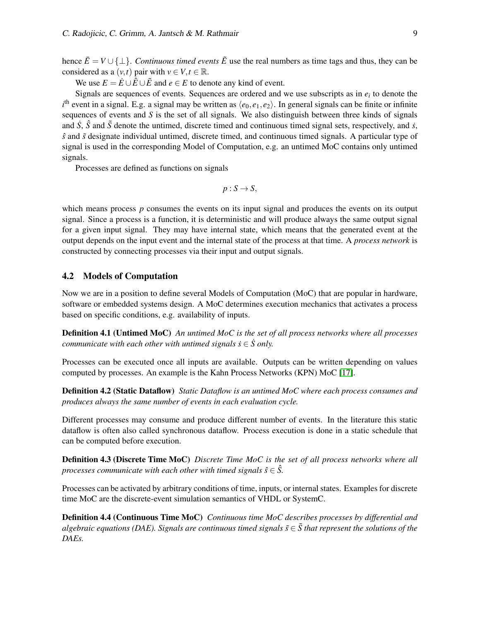hence  $\bar{E} = V \cup \{\perp\}$ . *Continuous timed events*  $\tilde{E}$  use the real numbers as time tags and thus, they can be considered as a  $(v,t)$  pair with  $v \in V, t \in \mathbb{R}$ .

We use  $E = \dot{E} \cup \hat{E} \cup \tilde{E}$  and  $e \in E$  to denote any kind of event.

Signals are sequences of events. Sequences are ordered and we use subscripts as in *e<sup>i</sup>* to denote the  $i<sup>th</sup>$  event in a signal. E.g. a signal may be written as  $\langle e_0, e_1, e_2 \rangle$ . In general signals can be finite or infinite sequences of events and *S* is the set of all signals. We also distinguish between three kinds of signals and  $\dot{S}$ ,  $\hat{S}$  and  $\tilde{S}$  denote the untimed, discrete timed and continuous timed signal sets, respectively, and  $\dot{s}$ , *s*ˆ and ˜*s* designate individual untimed, discrete timed, and continuous timed signals. A particular type of signal is used in the corresponding Model of Computation, e.g. an untimed MoC contains only untimed signals.

Processes are defined as functions on signals

$$
p: S \to S,
$$

which means process *p* consumes the events on its input signal and produces the events on its output signal. Since a process is a function, it is deterministic and will produce always the same output signal for a given input signal. They may have internal state, which means that the generated event at the output depends on the input event and the internal state of the process at that time. A *process network* is constructed by connecting processes via their input and output signals.

## 4.2 Models of Computation

Now we are in a position to define several Models of Computation (MoC) that are popular in hardware, software or embedded systems design. A MoC determines execution mechanics that activates a process based on specific conditions, e.g. availability of inputs.

Definition 4.1 (Untimed MoC) *An untimed MoC is the set of all process networks where all processes communicate with each other with untimed signals*  $\dot{s} \in \dot{S}$  *only.* 

Processes can be executed once all inputs are available. Outputs can be written depending on values computed by processes. An example is the Kahn Process Networks (KPN) MoC [\[17\]](#page-15-11).

<span id="page-8-0"></span>Definition 4.2 (Static Dataflow) *Static Dataflow is an untimed MoC where each process consumes and produces always the same number of events in each evaluation cycle.*

Different processes may consume and produce different number of events. In the literature this static dataflow is often also called synchronous dataflow. Process execution is done in a static schedule that can be computed before execution.

Definition 4.3 (Discrete Time MoC) *Discrete Time MoC is the set of all process networks where all processes communicate with each other with timed signals*  $\hat{s} \in \hat{S}$ .

Processes can be activated by arbitrary conditions of time, inputs, or internal states. Examples for discrete time MoC are the discrete-event simulation semantics of VHDL or SystemC.

Definition 4.4 (Continuous Time MoC) *Continuous time MoC describes processes by differential and algebraic equations (DAE). Signals are continuous timed signals*  $\tilde{s} \in \tilde{S}$  that represent the solutions of the *DAEs.*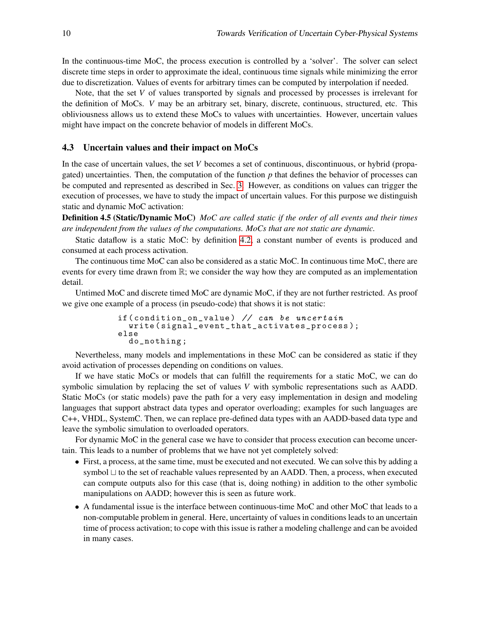In the continuous-time MoC, the process execution is controlled by a 'solver'. The solver can select discrete time steps in order to approximate the ideal, continuous time signals while minimizing the error due to discretization. Values of events for arbitrary times can be computed by interpolation if needed.

Note, that the set *V* of values transported by signals and processed by processes is irrelevant for the definition of MoCs. *V* may be an arbitrary set, binary, discrete, continuous, structured, etc. This obliviousness allows us to extend these MoCs to values with uncertainties. However, uncertain values might have impact on the concrete behavior of models in different MoCs.

## 4.3 Uncertain values and their impact on MoCs

In the case of uncertain values, the set *V* becomes a set of continuous, discontinuous, or hybrid (propagated) uncertainties. Then, the computation of the function *p* that defines the behavior of processes can be computed and represented as described in Sec. [3.](#page-2-0) However, as conditions on values can trigger the execution of processes, we have to study the impact of uncertain values. For this purpose we distinguish static and dynamic MoC activation:

Definition 4.5 (Static/Dynamic MoC) *MoC are called static if the order of all events and their times are independent from the values of the computations. MoCs that are not static are dynamic.*

Static dataflow is a static MoC: by definition [4.2,](#page-8-0) a constant number of events is produced and consumed at each process activation.

The continuous time MoC can also be considered as a static MoC. In continuous time MoC, there are events for every time drawn from R; we consider the way how they are computed as an implementation detail.

Untimed MoC and discrete timed MoC are dynamic MoC, if they are not further restricted. As proof we give one example of a process (in pseudo-code) that shows it is not static:

```
if ( condition_on_value ) // can be uncertain
  write ( signal_event_that_activates_process );
else
  do_nothing ;
```
Nevertheless, many models and implementations in these MoC can be considered as static if they avoid activation of processes depending on conditions on values.

If we have static MoCs or models that can fulfill the requirements for a static MoC, we can do symbolic simulation by replacing the set of values *V* with symbolic representations such as AADD. Static MoCs (or static models) pave the path for a very easy implementation in design and modeling languages that support abstract data types and operator overloading; examples for such languages are C++, VHDL, SystemC. Then, we can replace pre-defined data types with an AADD-based data type and leave the symbolic simulation to overloaded operators.

For dynamic MoC in the general case we have to consider that process execution can become uncertain. This leads to a number of problems that we have not yet completely solved:

- First, a process, at the same time, must be executed and not executed. We can solve this by adding a symbol  $\sqcup$  to the set of reachable values represented by an AADD. Then, a process, when executed can compute outputs also for this case (that is, doing nothing) in addition to the other symbolic manipulations on AADD; however this is seen as future work.
- A fundamental issue is the interface between continuous-time MoC and other MoC that leads to a non-computable problem in general. Here, uncertainty of values in conditions leads to an uncertain time of process activation; to cope with this issue is rather a modeling challenge and can be avoided in many cases.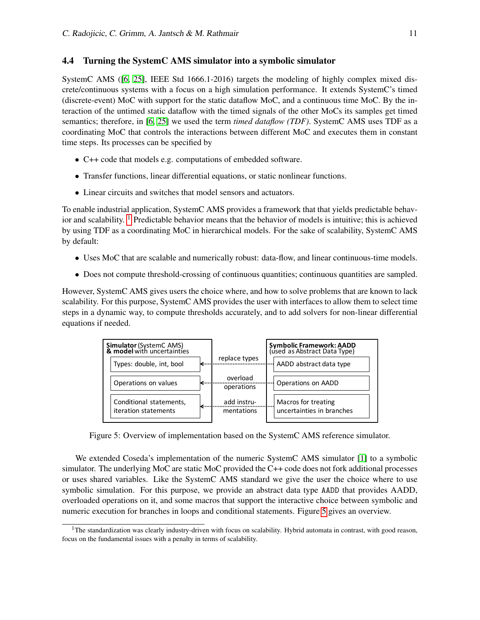# 4.4 Turning the SystemC AMS simulator into a symbolic simulator

SystemC AMS ([\[6,](#page-15-12) [25\]](#page-16-7), IEEE Std 1666.1-2016) targets the modeling of highly complex mixed discrete/continuous systems with a focus on a high simulation performance. It extends SystemC's timed (discrete-event) MoC with support for the static dataflow MoC, and a continuous time MoC. By the interaction of the untimed static dataflow with the timed signals of the other MoCs its samples get timed semantics; therefore, in [\[6,](#page-15-12) [25\]](#page-16-7) we used the term *timed dataflow (TDF)*. SystemC AMS uses TDF as a coordinating MoC that controls the interactions between different MoC and executes them in constant time steps. Its processes can be specified by

- C++ code that models e.g. computations of embedded software.
- Transfer functions, linear differential equations, or static nonlinear functions.
- Linear circuits and switches that model sensors and actuators.

To enable industrial application, SystemC AMS provides a framework that that yields predictable behavior and scalability.  $1$  Predictable behavior means that the behavior of models is intuitive; this is achieved by using TDF as a coordinating MoC in hierarchical models. For the sake of scalability, SystemC AMS by default:

- Uses MoC that are scalable and numerically robust: data-flow, and linear continuous-time models.
- Does not compute threshold-crossing of continuous quantities; continuous quantities are sampled.

However, SystemC AMS gives users the choice where, and how to solve problems that are known to lack scalability. For this purpose, SystemC AMS provides the user with interfaces to allow them to select time steps in a dynamic way, to compute thresholds accurately, and to add solvers for non-linear differential equations if needed.

<span id="page-10-1"></span>

Figure 5: Overview of implementation based on the SystemC AMS reference simulator.

We extended Coseda's implementation of the numeric SystemC AMS simulator [\[1\]](#page-15-13) to a symbolic simulator. The underlying MoC are static MoC provided the C++ code does not fork additional processes or uses shared variables. Like the SystemC AMS standard we give the user the choice where to use symbolic simulation. For this purpose, we provide an abstract data type AADD that provides AADD, overloaded operations on it, and some macros that support the interactive choice between symbolic and numeric execution for branches in loops and conditional statements. Figure [5](#page-10-1) gives an overview.

<span id="page-10-0"></span> $1$ The standardization was clearly industry-driven with focus on scalability. Hybrid automata in contrast, with good reason, focus on the fundamental issues with a penalty in terms of scalability.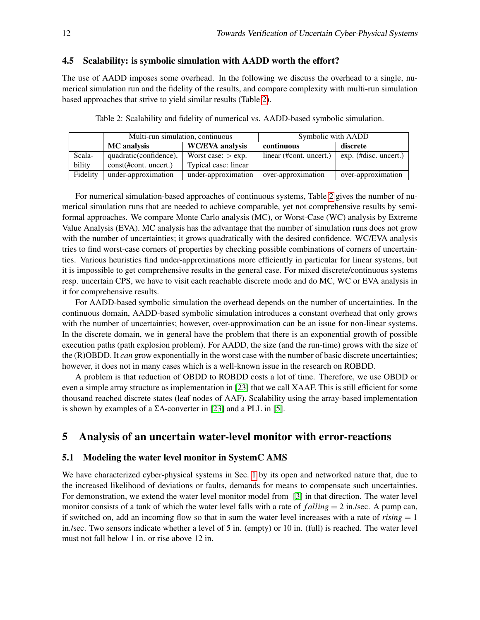## 4.5 Scalability: is symbolic simulation with AADD worth the effort?

The use of AADD imposes some overhead. In the following we discuss the overhead to a single, numerical simulation run and the fidelity of the results, and compare complexity with multi-run simulation based approaches that strive to yield similar results (Table [2\)](#page-11-1).

Table 2: Scalability and fidelity of numerical vs. AADD-based symbolic simulation.

<span id="page-11-1"></span>

|          | Multi-run simulation, continuous |                        | Symbolic with AADD      |                       |
|----------|----------------------------------|------------------------|-------------------------|-----------------------|
|          | MC analysis                      | <b>WC/EVA</b> analysis | continuous              | discrete              |
| Scala-   | quadratic (confidence),          | Worst case: $>$ exp.   | linear (#cont. uncert.) | exp. (#disc. uncert.) |
| bility   | const(#cont. uncert.)            | Typical case: linear   |                         |                       |
| Fidelity | under-approximation              | under-approximation    | over-approximation      | over-approximation    |

For numerical simulation-based approaches of continuous systems, Table [2](#page-11-1) gives the number of numerical simulation runs that are needed to achieve comparable, yet not comprehensive results by semiformal approaches. We compare Monte Carlo analysis (MC), or Worst-Case (WC) analysis by Extreme Value Analysis (EVA). MC analysis has the advantage that the number of simulation runs does not grow with the number of uncertainties; it grows quadratically with the desired confidence. WC/EVA analysis tries to find worst-case corners of properties by checking possible combinations of corners of uncertainties. Various heuristics find under-approximations more efficiently in particular for linear systems, but it is impossible to get comprehensive results in the general case. For mixed discrete/continuous systems resp. uncertain CPS, we have to visit each reachable discrete mode and do MC, WC or EVA analysis in it for comprehensive results.

For AADD-based symbolic simulation the overhead depends on the number of uncertainties. In the continuous domain, AADD-based symbolic simulation introduces a constant overhead that only grows with the number of uncertainties; however, over-approximation can be an issue for non-linear systems. In the discrete domain, we in general have the problem that there is an exponential growth of possible execution paths (path explosion problem). For AADD, the size (and the run-time) grows with the size of the (R)OBDD. It *can* grow exponentially in the worst case with the number of basic discrete uncertainties; however, it does not in many cases which is a well-known issue in the research on ROBDD.

A problem is that reduction of OBDD to ROBDD costs a lot of time. Therefore, we use OBDD or even a simple array structure as implementation in [\[23\]](#page-16-8) that we call XAAF. This is still efficient for some thousand reached discrete states (leaf nodes of AAF). Scalability using the array-based implementation is shown by examples of a Σ∆-converter in [\[23\]](#page-16-8) and a PLL in [\[5\]](#page-15-14).

# <span id="page-11-0"></span>5 Analysis of an uncertain water-level monitor with error-reactions

#### 5.1 Modeling the water level monitor in SystemC AMS

We have characterized cyber-physical systems in Sec. [1](#page-0-0) by its open and networked nature that, due to the increased likelihood of deviations or faults, demands for means to compensate such uncertainties. For demonstration, we extend the water level monitor model from [\[3\]](#page-15-15) in that direction. The water level monitor consists of a tank of which the water level falls with a rate of *f alling* = 2 in./sec. A pump can, if switched on, add an incoming flow so that in sum the water level increases with a rate of  $rising = 1$ in./sec. Two sensors indicate whether a level of 5 in. (empty) or 10 in. (full) is reached. The water level must not fall below 1 in. or rise above 12 in.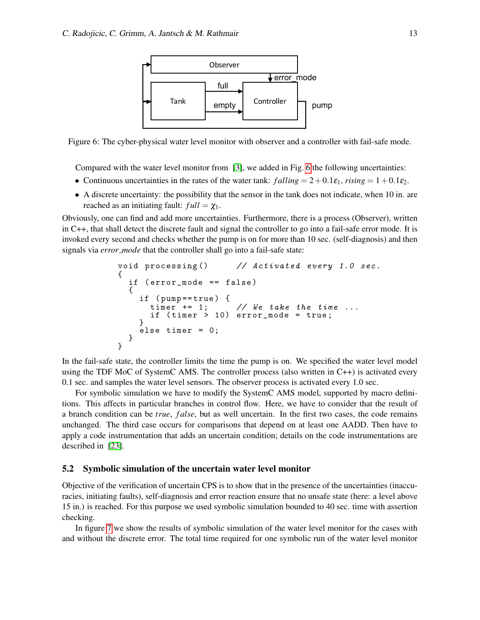<span id="page-12-0"></span>

Figure 6: The cyber-physical water level monitor with observer and a controller with fail-safe mode.

Compared with the water level monitor from [\[3\]](#page-15-15), we added in Fig. [6](#page-12-0) the following uncertainties:

- Continuous uncertainties in the rates of the water tank:  $falling = 2 + 0.1 \varepsilon_1$ ,  $rising = 1 + 0.1 \varepsilon_2$ .
- A discrete uncertainty: the possibility that the sensor in the tank does not indicate, when 10 in. are reached as an initiating fault:  $full = \chi_1$ .

Obviously, one can find and add more uncertainties. Furthermore, there is a process (Observer), written in C++, that shall detect the discrete fault and signal the controller to go into a fail-safe error mode. It is invoked every second and checks whether the pump is on for more than 10 sec. (self-diagnosis) and then signals via *error mode* that the controller shall go into a fail-safe state:

```
void processing () // Activated every 1.0 sec.
{
  if ( error_mode == false )
  {
    if ( pump == true ) {
      timer += 1; // We take the time ...
      if (timer > 10) error_mode = true;
    }
    else timer = 0;
  }
}
```
In the fail-safe state, the controller limits the time the pump is on. We specified the water level model using the TDF MoC of SystemC AMS. The controller process (also written in C++) is activated every 0.1 sec. and samples the water level sensors. The observer process is activated every 1.0 sec.

For symbolic simulation we have to modify the SystemC AMS model, supported by macro definitions. This affects in particular branches in control flow. Here, we have to consider that the result of a branch condition can be *true*, *f alse*, but as well uncertain. In the first two cases, the code remains unchanged. The third case occurs for comparisons that depend on at least one AADD. Then have to apply a code instrumentation that adds an uncertain condition; details on the code instrumentations are described in [\[23\]](#page-16-8).

## 5.2 Symbolic simulation of the uncertain water level monitor

Objective of the verification of uncertain CPS is to show that in the presence of the uncertainties (inaccuracies, initiating faults), self-diagnosis and error reaction ensure that no unsafe state (here: a level above 15 in.) is reached. For this purpose we used symbolic simulation bounded to 40 sec. time with assertion checking.

In figure [7](#page-13-0) we show the results of symbolic simulation of the water level monitor for the cases with and without the discrete error. The total time required for one symbolic run of the water level monitor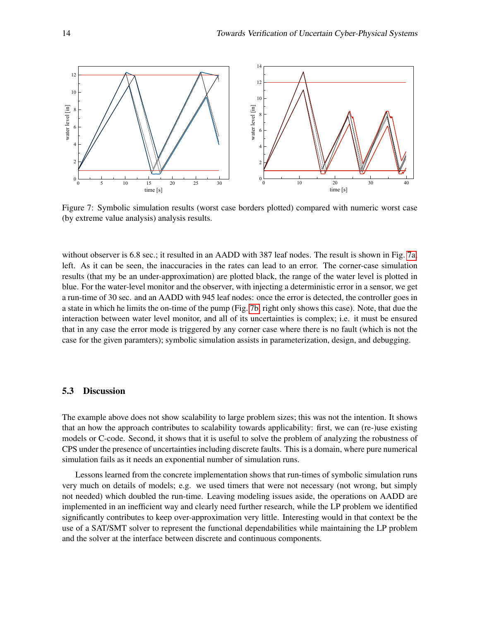<span id="page-13-1"></span><span id="page-13-0"></span>

<span id="page-13-2"></span>Figure 7: Symbolic simulation results (worst case borders plotted) compared with numeric worst case (by extreme value analysis) analysis results.

without observer is 6.8 sec.; it resulted in an AADD with 387 leaf nodes. The result is shown in Fig. [7a,](#page-13-1) left. As it can be seen, the inaccuracies in the rates can lead to an error. The corner-case simulation results (that my be an under-approximation) are plotted black, the range of the water level is plotted in blue. For the water-level monitor and the observer, with injecting a deterministic error in a sensor, we get a run-time of 30 sec. and an AADD with 945 leaf nodes: once the error is detected, the controller goes in a state in which he limits the on-time of the pump (Fig. [7b,](#page-13-2) right only shows this case). Note, that due the interaction between water level monitor, and all of its uncertainties is complex; i.e. it must be ensured that in any case the error mode is triggered by any corner case where there is no fault (which is not the case for the given paramters); symbolic simulation assists in parameterization, design, and debugging.

### 5.3 Discussion

The example above does not show scalability to large problem sizes; this was not the intention. It shows that an how the approach contributes to scalability towards applicability: first, we can (re-)use existing models or C-code. Second, it shows that it is useful to solve the problem of analyzing the robustness of CPS under the presence of uncertainties including discrete faults. This is a domain, where pure numerical simulation fails as it needs an exponential number of simulation runs.

Lessons learned from the concrete implementation shows that run-times of symbolic simulation runs very much on details of models; e.g. we used timers that were not necessary (not wrong, but simply not needed) which doubled the run-time. Leaving modeling issues aside, the operations on AADD are implemented in an inefficient way and clearly need further research, while the LP problem we identified significantly contributes to keep over-approximation very little. Interesting would in that context be the use of a SAT/SMT solver to represent the functional dependabilities while maintaining the LP problem and the solver at the interface between discrete and continuous components.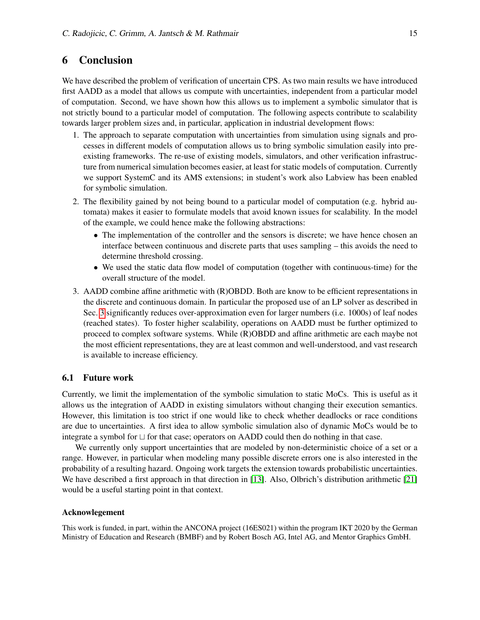# 6 Conclusion

We have described the problem of verification of uncertain CPS. As two main results we have introduced first AADD as a model that allows us compute with uncertainties, independent from a particular model of computation. Second, we have shown how this allows us to implement a symbolic simulator that is not strictly bound to a particular model of computation. The following aspects contribute to scalability towards larger problem sizes and, in particular, application in industrial development flows:

- 1. The approach to separate computation with uncertainties from simulation using signals and processes in different models of computation allows us to bring symbolic simulation easily into preexisting frameworks. The re-use of existing models, simulators, and other verification infrastructure from numerical simulation becomes easier, at least for static models of computation. Currently we support SystemC and its AMS extensions; in student's work also Labview has been enabled for symbolic simulation.
- 2. The flexibility gained by not being bound to a particular model of computation (e.g. hybrid automata) makes it easier to formulate models that avoid known issues for scalability. In the model of the example, we could hence make the following abstractions:
	- The implementation of the controller and the sensors is discrete; we have hence chosen an interface between continuous and discrete parts that uses sampling – this avoids the need to determine threshold crossing.
	- We used the static data flow model of computation (together with continuous-time) for the overall structure of the model.
- 3. AADD combine affine arithmetic with (R)OBDD. Both are know to be efficient representations in the discrete and continuous domain. In particular the proposed use of an LP solver as described in Sec. [3](#page-2-0) significantly reduces over-approximation even for larger numbers (i.e. 1000s) of leaf nodes (reached states). To foster higher scalability, operations on AADD must be further optimized to proceed to complex software systems. While (R)OBDD and affine arithmetic are each maybe not the most efficient representations, they are at least common and well-understood, and vast research is available to increase efficiency.

## 6.1 Future work

Currently, we limit the implementation of the symbolic simulation to static MoCs. This is useful as it allows us the integration of AADD in existing simulators without changing their execution semantics. However, this limitation is too strict if one would like to check whether deadlocks or race conditions are due to uncertainties. A first idea to allow symbolic simulation also of dynamic MoCs would be to integrate a symbol for  $\sqcup$  for that case; operators on AADD could then do nothing in that case.

We currently only support uncertainties that are modeled by non-deterministic choice of a set or a range. However, in particular when modeling many possible discrete errors one is also interested in the probability of a resulting hazard. Ongoing work targets the extension towards probabilistic uncertainties. We have described a first approach in that direction in [\[13\]](#page-15-16). Also, Olbrich's distribution arithmetic [\[21\]](#page-16-9) would be a useful starting point in that context.

## Acknowlegement

This work is funded, in part, within the ANCONA project (16ES021) within the program IKT 2020 by the German Ministry of Education and Research (BMBF) and by Robert Bosch AG, Intel AG, and Mentor Graphics GmbH.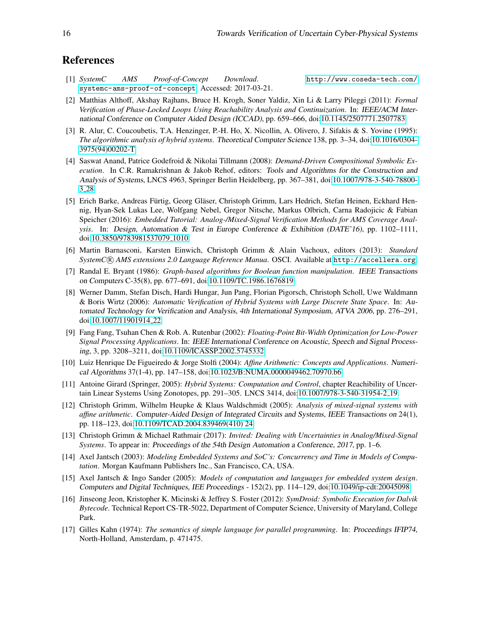# References

- <span id="page-15-13"></span>[1] *SystemC AMS Proof-of-Concept Download*. [http://www.coseda-tech.com/](http://www.coseda-tech.com/systemc-ams-proof-of-concept) [systemc-ams-proof-of-concept](http://www.coseda-tech.com/systemc-ams-proof-of-concept). Accessed: 2017-03-21.
- <span id="page-15-1"></span>[2] Matthias Althoff, Akshay Rajhans, Bruce H. Krogh, Soner Yaldiz, Xin Li & Larry Pileggi (2011): *Formal Verification of Phase-Locked Loops Using Reachability Analysis and Continuization*. In: IEEE/ACM International Conference on Computer Aided Design (ICCAD), pp. 659–666, doi[:10.1145/2507771.2507783.](http://dx.doi.org/10.1145/2507771.2507783)
- <span id="page-15-15"></span>[3] R. Alur, C. Coucoubetis, T.A. Henzinger, P.-H. Ho, X. Nicollin, A. Olivero, J. Sifakis & S. Yovine (1995): *The algorithmic analysis of hybrid systems*. Theoretical Computer Science 138, pp. 3–34, doi[:10.1016/0304-](http://dx.doi.org/10.1016/0304-3975(94)00202-T) [3975\(94\)00202-T.](http://dx.doi.org/10.1016/0304-3975(94)00202-T)
- <span id="page-15-5"></span>[4] Saswat Anand, Patrice Godefroid & Nikolai Tillmann (2008): *Demand-Driven Compositional Symbolic Execution*. In C.R. Ramakrishnan & Jakob Rehof, editors: Tools and Algorithms for the Construction and Analysis of Systems, LNCS 4963, Springer Berlin Heidelberg, pp. 367–381, doi[:10.1007/978-3-540-78800-](http://dx.doi.org/10.1007/978-3-540-78800-3_28) 3 [28.](http://dx.doi.org/10.1007/978-3-540-78800-3_28)
- <span id="page-15-14"></span>[5] Erich Barke, Andreas Fürtig, Georg Gläser, Christoph Grimm, Lars Hedrich, Stefan Heinen, Eckhard Hennig, Hyan-Sek Lukas Lee, Wolfgang Nebel, Gregor Nitsche, Markus Olbrich, Carna Radojicic & Fabian Speicher (2016): *Embedded Tutorial: Analog-/Mixed-Signal Verification Methods for AMS Coverage Analysis*. In: Design, Automation & Test in Europe Conference & Exhibition (DATE'16), pp. 1102–1111, doi[:10.3850/9783981537079](http://dx.doi.org/10.3850/9783981537079_1010) 1010.
- <span id="page-15-12"></span>[6] Martin Barnasconi, Karsten Einwich, Christoph Grimm & Alain Vachoux, editors (2013): *Standard SystemC* <sup>R</sup> *AMS extensions 2.0 Language Reference Manua*. OSCI. Available at <http://accellera.org>.
- <span id="page-15-10"></span>[7] Randal E. Bryant (1986): *Graph-based algorithms for Boolean function manipulation*. IEEE Transactions on Computers C-35(8), pp. 677–691, doi[:10.1109/TC.1986.1676819.](http://dx.doi.org/10.1109/TC.1986.1676819)
- <span id="page-15-4"></span>[8] Werner Damm, Stefan Disch, Hardi Hungar, Jun Pang, Florian Pigorsch, Christoph Scholl, Uwe Waldmann & Boris Wirtz (2006): *Automatic Verification of Hybrid Systems with Large Discrete State Space*. In: Automated Technology for Verification and Analysis, 4th International Symposium, ATVA 2006, pp. 276–291, doi[:10.1007/11901914](http://dx.doi.org/10.1007/11901914_22) 22.
- <span id="page-15-7"></span>[9] Fang Fang, Tsuhan Chen & Rob. A. Rutenbar (2002): *Floating-Point Bit-Width Optimization for Low-Power Signal Processing Applications*. In: IEEE International Conference on Acoustic, Speech and Signal Processing, 3, pp. 3208–3211, doi[:10.1109/ICASSP.2002.5745332.](http://dx.doi.org/10.1109/ICASSP.2002.5745332)
- <span id="page-15-2"></span>[10] Luiz Henrique De Figueiredo & Jorge Stolfi (2004): *Affine Arithmetic: Concepts and Applications*. Numerical Algorithms 37(1-4), pp. 147–158, doi[:10.1023/B:NUMA.0000049462.70970.b6.](http://dx.doi.org/10.1023/B:NUMA.0000049462.70970.b6)
- <span id="page-15-0"></span>[11] Antoine Girard (Springer, 2005): *Hybrid Systems: Computation and Control*, chapter Reachibility of Uncertain Linear Systems Using Zonotopes, pp. 291–305. LNCS 3414, doi[:10.1007/978-3-540-31954-2](http://dx.doi.org/10.1007/978-3-540-31954-2_19) 19.
- <span id="page-15-3"></span>[12] Christoph Grimm, Wilhelm Heupke & Klaus Waldschmidt (2005): *Analysis of mixed-signal systems with affine arithmetic*. Computer-Aided Design of Integrated Circuits and Systems, IEEE Transactions on 24(1), pp. 118–123, doi[:10.1109/TCAD.2004.839469\(410\) 24.](http://dx.doi.org/10.1109/TCAD.2004.839469(410) 24)
- <span id="page-15-16"></span>[13] Christoph Grimm & Michael Rathmair (2017): *Invited: Dealing with Uncertainties in Analog/Mixed-Signal Systems*. To appear in: Proceedings of the 54th Design Automation a Conference, 2017, pp. 1–6.
- <span id="page-15-8"></span>[14] Axel Jantsch (2003): *Modeling Embedded Systems and SoC's: Concurrency and Time in Models of Computation*. Morgan Kaufmann Publishers Inc., San Francisco, CA, USA.
- <span id="page-15-9"></span>[15] Axel Jantsch & Ingo Sander (2005): *Models of computation and languages for embedded system design*. Computers and Digital Techniques, IEE Proceedings - 152(2), pp. 114–129, doi[:10.1049/ip-cdt:20045098.](http://dx.doi.org/10.1049/ip-cdt:20045098)
- <span id="page-15-6"></span>[16] Jinseong Jeon, Kristopher K. Micinski & Jeffrey S. Foster (2012): *SymDroid: Symbolic Execution for Dalvik Bytecode*. Technical Report CS-TR-5022, Department of Computer Science, University of Maryland, College Park.
- <span id="page-15-11"></span>[17] Gilles Kahn (1974): *The semantics of simple language for parallel programming*. In: Proceedings IFIP74, North-Holland, Amsterdam, p. 471475.